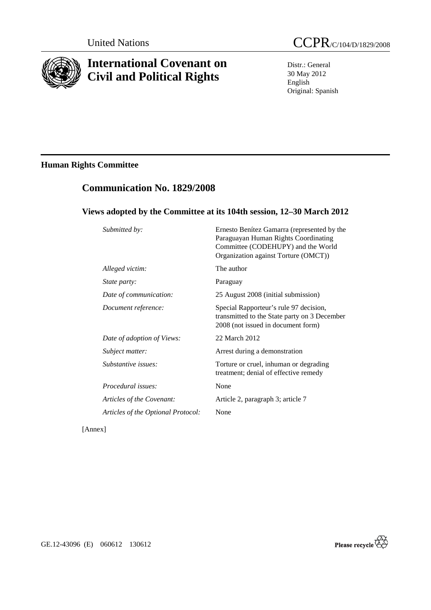

# **International Covenant on Civil and Political Rights**

Distr.: General 30 May 2012 English Original: Spanish

# **Human Rights Committee**

# **Communication No. 1829/2008**

### **Views adopted by the Committee at its 104th session, 12–30 March 2012**

| Submitted by:                      | Ernesto Benítez Gamarra (represented by the<br>Paraguayan Human Rights Coordinating<br>Committee (CODEHUPY) and the World<br>Organization against Torture (OMCT)) |
|------------------------------------|-------------------------------------------------------------------------------------------------------------------------------------------------------------------|
| Alleged victim:                    | The author                                                                                                                                                        |
| <i>State party:</i>                | Paraguay                                                                                                                                                          |
| Date of communication:             | 25 August 2008 (initial submission)                                                                                                                               |
| Document reference:                | Special Rapporteur's rule 97 decision,<br>transmitted to the State party on 3 December<br>2008 (not issued in document form)                                      |
| Date of adoption of Views:         | 22 March 2012                                                                                                                                                     |
| Subject matter:                    | Arrest during a demonstration                                                                                                                                     |
| Substantive issues:                | Torture or cruel, inhuman or degrading<br>treatment; denial of effective remedy                                                                                   |
| Procedural issues:                 | None                                                                                                                                                              |
| Articles of the Covenant:          | Article 2, paragraph 3; article 7                                                                                                                                 |
| Articles of the Optional Protocol: | None                                                                                                                                                              |

[Annex]

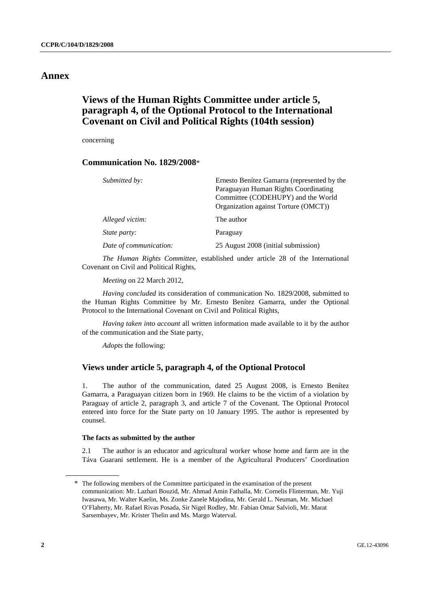### **Annex**

## **Views of the Human Rights Committee under article 5, paragraph 4, of the Optional Protocol to the International Covenant on Civil and Political Rights (104th session)**

concerning

### **Communication No. 1829/2008**\*

| Submitted by:          | Ernesto Benítez Gamarra (represented by the<br>Paraguayan Human Rights Coordinating<br>Committee (CODEHUPY) and the World<br>Organization against Torture (OMCT)) |
|------------------------|-------------------------------------------------------------------------------------------------------------------------------------------------------------------|
| Alleged victim:        | The author                                                                                                                                                        |
| <i>State party:</i>    | Paraguay                                                                                                                                                          |
| Date of communication: | 25 August 2008 (initial submission)                                                                                                                               |

*The Human Rights Committee*, established under article 28 of the International Covenant on Civil and Political Rights,

*Meeting* on 22 March 2012,

*Having concluded* its consideration of communication No. 1829/2008, submitted to the Human Rights Committee by Mr. Ernesto Benítez Gamarra, under the Optional Protocol to the International Covenant on Civil and Political Rights,

*Having taken into account* all written information made available to it by the author of the communication and the State party,

*Adopts* the following:

### **Views under article 5, paragraph 4, of the Optional Protocol**

1. The author of the communication, dated 25 August 2008, is Ernesto Benítez Gamarra, a Paraguayan citizen born in 1969. He claims to be the victim of a violation by Paraguay of article 2, paragraph 3, and article 7 of the Covenant. The Optional Protocol entered into force for the State party on 10 January 1995. The author is represented by counsel.

#### **The facts as submitted by the author**

2.1 The author is an educator and agricultural worker whose home and farm are in the Táva Guarani settlement. He is a member of the Agricultural Producers' Coordination

<sup>\*</sup> The following members of the Committee participated in the examination of the present communication: Mr. Lazhari Bouzid, Mr. Ahmad Amin Fathalla, Mr. Cornelis Flinterman, Mr. Yuji Iwasawa, Mr. Walter Kaelin, Ms. Zonke Zanele Majodina, Mr. Gerald L. Neuman, Mr. Michael O'Flaherty, Mr. Rafael Rivas Posada, Sir Nigel Rodley, Mr. Fabian Omar Salvioli, Mr. Marat Sarsembayev, Mr. Krister Thelin and Ms. Margo Waterval.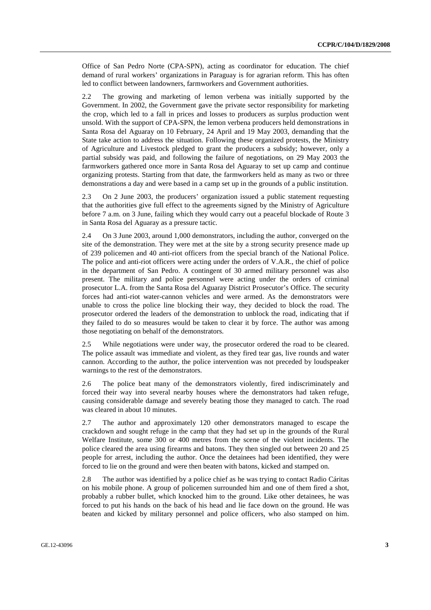Office of San Pedro Norte (CPA-SPN), acting as coordinator for education. The chief demand of rural workers' organizations in Paraguay is for agrarian reform. This has often led to conflict between landowners, farmworkers and Government authorities.

2.2 The growing and marketing of lemon verbena was initially supported by the Government. In 2002, the Government gave the private sector responsibility for marketing the crop, which led to a fall in prices and losses to producers as surplus production went unsold. With the support of CPA-SPN, the lemon verbena producers held demonstrations in Santa Rosa del Aguaray on 10 February, 24 April and 19 May 2003, demanding that the State take action to address the situation. Following these organized protests, the Ministry of Agriculture and Livestock pledged to grant the producers a subsidy; however, only a partial subsidy was paid, and following the failure of negotiations, on 29 May 2003 the farmworkers gathered once more in Santa Rosa del Aguaray to set up camp and continue organizing protests. Starting from that date, the farmworkers held as many as two or three demonstrations a day and were based in a camp set up in the grounds of a public institution.

2.3 On 2 June 2003, the producers' organization issued a public statement requesting that the authorities give full effect to the agreements signed by the Ministry of Agriculture before 7 a.m. on 3 June, failing which they would carry out a peaceful blockade of Route 3 in Santa Rosa del Aguaray as a pressure tactic.

2.4 On 3 June 2003, around 1,000 demonstrators, including the author, converged on the site of the demonstration. They were met at the site by a strong security presence made up of 239 policemen and 40 anti-riot officers from the special branch of the National Police. The police and anti-riot officers were acting under the orders of V.A.R., the chief of police in the department of San Pedro. A contingent of 30 armed military personnel was also present. The military and police personnel were acting under the orders of criminal prosecutor L.A. from the Santa Rosa del Aguaray District Prosecutor's Office. The security forces had anti-riot water-cannon vehicles and were armed. As the demonstrators were unable to cross the police line blocking their way, they decided to block the road. The prosecutor ordered the leaders of the demonstration to unblock the road, indicating that if they failed to do so measures would be taken to clear it by force. The author was among those negotiating on behalf of the demonstrators.

2.5 While negotiations were under way, the prosecutor ordered the road to be cleared. The police assault was immediate and violent, as they fired tear gas, live rounds and water cannon. According to the author, the police intervention was not preceded by loudspeaker warnings to the rest of the demonstrators.

2.6 The police beat many of the demonstrators violently, fired indiscriminately and forced their way into several nearby houses where the demonstrators had taken refuge, causing considerable damage and severely beating those they managed to catch. The road was cleared in about 10 minutes.

2.7 The author and approximately 120 other demonstrators managed to escape the crackdown and sought refuge in the camp that they had set up in the grounds of the Rural Welfare Institute, some 300 or 400 metres from the scene of the violent incidents. The police cleared the area using firearms and batons. They then singled out between 20 and 25 people for arrest, including the author. Once the detainees had been identified, they were forced to lie on the ground and were then beaten with batons, kicked and stamped on.

2.8 The author was identified by a police chief as he was trying to contact Radio Cáritas on his mobile phone. A group of policemen surrounded him and one of them fired a shot, probably a rubber bullet, which knocked him to the ground. Like other detainees, he was forced to put his hands on the back of his head and lie face down on the ground. He was beaten and kicked by military personnel and police officers, who also stamped on him.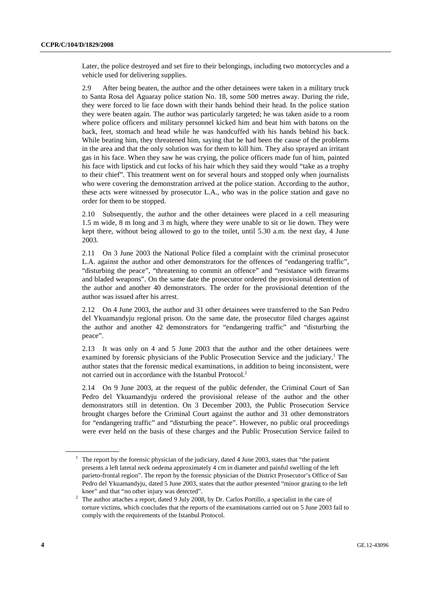Later, the police destroyed and set fire to their belongings, including two motorcycles and a vehicle used for delivering supplies.

2.9 After being beaten, the author and the other detainees were taken in a military truck to Santa Rosa del Aguaray police station No. 18, some 500 metres away. During the ride, they were forced to lie face down with their hands behind their head. In the police station they were beaten again. The author was particularly targeted; he was taken aside to a room where police officers and military personnel kicked him and beat him with batons on the back, feet, stomach and head while he was handcuffed with his hands behind his back. While beating him, they threatened him, saying that he had been the cause of the problems in the area and that the only solution was for them to kill him. They also sprayed an irritant gas in his face. When they saw he was crying, the police officers made fun of him, painted his face with lipstick and cut locks of his hair which they said they would "take as a trophy to their chief". This treatment went on for several hours and stopped only when journalists who were covering the demonstration arrived at the police station. According to the author, these acts were witnessed by prosecutor L.A., who was in the police station and gave no order for them to be stopped.

2.10 Subsequently, the author and the other detainees were placed in a cell measuring 1.5 m wide, 8 m long and 3 m high, where they were unable to sit or lie down. They were kept there, without being allowed to go to the toilet, until 5.30 a.m. the next day, 4 June 2003.

2.11 On 3 June 2003 the National Police filed a complaint with the criminal prosecutor L.A. against the author and other demonstrators for the offences of "endangering traffic", "disturbing the peace", "threatening to commit an offence" and "resistance with firearms and bladed weapons". On the same date the prosecutor ordered the provisional detention of the author and another 40 demonstrators. The order for the provisional detention of the author was issued after his arrest.

2.12 On 4 June 2003, the author and 31 other detainees were transferred to the San Pedro del Ykuamandyju regional prison. On the same date, the prosecutor filed charges against the author and another 42 demonstrators for "endangering traffic" and "disturbing the peace".

2.13 It was only on 4 and 5 June 2003 that the author and the other detainees were examined by forensic physicians of the Public Prosecution Service and the judiciary.<sup>1</sup> The author states that the forensic medical examinations, in addition to being inconsistent, were not carried out in accordance with the Istanbul Protocol.<sup>2</sup>

2.14 On 9 June 2003, at the request of the public defender, the Criminal Court of San Pedro del Ykuamandyju ordered the provisional release of the author and the other demonstrators still in detention. On 3 December 2003, the Public Prosecution Service brought charges before the Criminal Court against the author and 31 other demonstrators for "endangering traffic" and "disturbing the peace". However, no public oral proceedings were ever held on the basis of these charges and the Public Prosecution Service failed to

<sup>&</sup>lt;sup>1</sup> The report by the forensic physician of the judiciary, dated 4 June 2003, states that "the patient presents a left lateral neck oedema approximately 4 cm in diameter and painful swelling of the left parieto-frontal region". The report by the forensic physician of the District Prosecutor's Office of San Pedro del Ykuamandyju, dated 5 June 2003, states that the author presented "minor grazing to the left knee" and that "no other injury was detected".<br><sup>2</sup> The suther straches a ground data d.0 July 2009

The author attaches a report, dated 9 July 2008, by Dr. Carlos Portillo, a specialist in the care of torture victims, which concludes that the reports of the examinations carried out on 5 June 2003 fail to comply with the requirements of the Istanbul Protocol.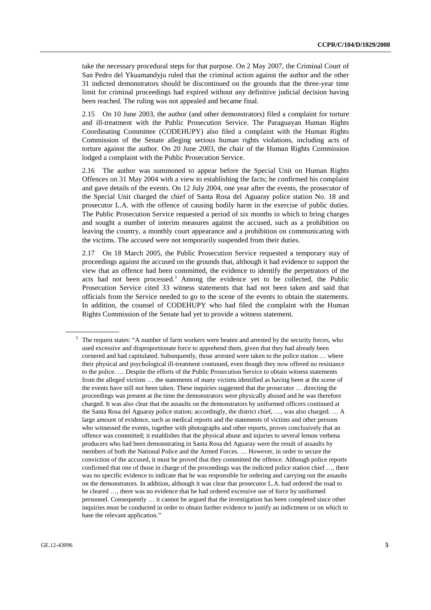take the necessary procedural steps for that purpose. On 2 May 2007, the Criminal Court of San Pedro del Ykuamandyju ruled that the criminal action against the author and the other 31 indicted demonstrators should be discontinued on the grounds that the three-year time limit for criminal proceedings had expired without any definitive judicial decision having been reached. The ruling was not appealed and became final.

2.15 On 10 June 2003, the author (and other demonstrators) filed a complaint for torture and ill-treatment with the Public Prosecution Service. The Paraguayan Human Rights Coordinating Committee (CODEHUPY) also filed a complaint with the Human Rights Commission of the Senate alleging serious human rights violations, including acts of torture against the author. On 20 June 2003, the chair of the Human Rights Commission lodged a complaint with the Public Prosecution Service.

2.16 The author was summoned to appear before the Special Unit on Human Rights Offences on 31 May 2004 with a view to establishing the facts; he confirmed his complaint and gave details of the events. On 12 July 2004, one year after the events, the prosecutor of the Special Unit charged the chief of Santa Rosa del Aguaray police station No. 18 and prosecutor L.A. with the offence of causing bodily harm in the exercise of public duties. The Public Prosecution Service requested a period of six months in which to bring charges and sought a number of interim measures against the accused, such as a prohibition on leaving the country, a monthly court appearance and a prohibition on communicating with the victims. The accused were not temporarily suspended from their duties.

2.17 On 18 March 2005, the Public Prosecution Service requested a temporary stay of proceedings against the accused on the grounds that, although it had evidence to support the view that an offence had been committed, the evidence to identify the perpetrators of the acts had not been processed.<sup>3</sup> Among the evidence yet to be collected, the Public Prosecution Service cited 33 witness statements that had not been taken and said that officials from the Service needed to go to the scene of the events to obtain the statements. In addition, the counsel of CODEHUPY who had filed the complaint with the Human Rights Commission of the Senate had yet to provide a witness statement.

<sup>&</sup>lt;sup>3</sup> The request states: "A number of farm workers were beaten and arrested by the security forces, who used excessive and disproportionate force to apprehend them, given that they had already been cornered and had capitulated. Subsequently, those arrested were taken to the police station ... where their physical and psychological ill-treatment continued, even though they now offered no resistance to the police. … Despite the efforts of the Public Prosecution Service to obtain witness statements from the alleged victims … the statements of many victims identified as having been at the scene of the events have still not been taken. These inquiries suggested that the prosecutor … directing the proceedings was present at the time the demonstrators were physically abused and he was therefore charged. It was also clear that the assaults on the demonstrators by uniformed officers continued at the Santa Rosa del Aguaray police station; accordingly, the district chief, …, was also charged. … A large amount of evidence, such as medical reports and the statements of victims and other persons who witnessed the events, together with photographs and other reports, proves conclusively that an offence was committed; it establishes that the physical abuse and injuries to several lemon verbena producers who had been demonstrating in Santa Rosa del Aguaray were the result of assaults by members of both the National Police and the Armed Forces. … However, in order to secure the conviction of the accused, it must be proved that they committed the offence. Although police reports confirmed that one of those in charge of the proceedings was the indicted police station chief …, there was no specific evidence to indicate that he was responsible for ordering and carrying out the assaults on the demonstrators. In addition, although it was clear that prosecutor L.A. had ordered the road to be cleared …, there was no evidence that he had ordered excessive use of force by uniformed personnel. Consequently … it cannot be argued that the investigation has been completed since other inquiries must be conducted in order to obtain further evidence to justify an indictment or on which to base the relevant application."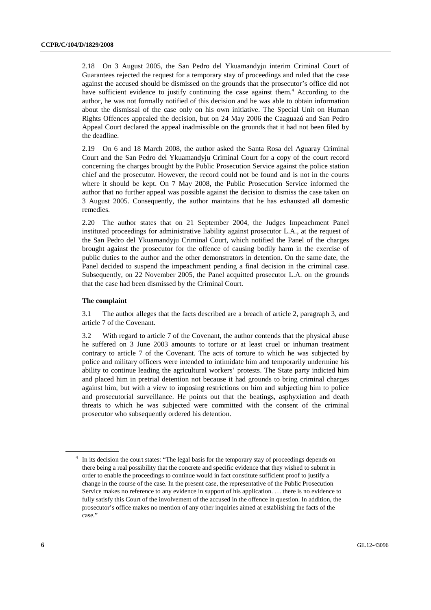2.18 On 3 August 2005, the San Pedro del Ykuamandyju interim Criminal Court of Guarantees rejected the request for a temporary stay of proceedings and ruled that the case against the accused should be dismissed on the grounds that the prosecutor's office did not have sufficient evidence to justify continuing the case against them.<sup>4</sup> According to the author, he was not formally notified of this decision and he was able to obtain information about the dismissal of the case only on his own initiative. The Special Unit on Human Rights Offences appealed the decision, but on 24 May 2006 the Caaguazú and San Pedro Appeal Court declared the appeal inadmissible on the grounds that it had not been filed by the deadline.

2.19 On 6 and 18 March 2008, the author asked the Santa Rosa del Aguaray Criminal Court and the San Pedro del Ykuamandyju Criminal Court for a copy of the court record concerning the charges brought by the Public Prosecution Service against the police station chief and the prosecutor. However, the record could not be found and is not in the courts where it should be kept. On 7 May 2008, the Public Prosecution Service informed the author that no further appeal was possible against the decision to dismiss the case taken on 3 August 2005. Consequently, the author maintains that he has exhausted all domestic remedies.

2.20 The author states that on 21 September 2004, the Judges Impeachment Panel instituted proceedings for administrative liability against prosecutor L.A., at the request of the San Pedro del Ykuamandyju Criminal Court, which notified the Panel of the charges brought against the prosecutor for the offence of causing bodily harm in the exercise of public duties to the author and the other demonstrators in detention. On the same date, the Panel decided to suspend the impeachment pending a final decision in the criminal case. Subsequently, on 22 November 2005, the Panel acquitted prosecutor L.A. on the grounds that the case had been dismissed by the Criminal Court.

#### **The complaint**

3.1 The author alleges that the facts described are a breach of article 2, paragraph 3, and article 7 of the Covenant.

3.2 With regard to article 7 of the Covenant, the author contends that the physical abuse he suffered on 3 June 2003 amounts to torture or at least cruel or inhuman treatment contrary to article 7 of the Covenant. The acts of torture to which he was subjected by police and military officers were intended to intimidate him and temporarily undermine his ability to continue leading the agricultural workers' protests. The State party indicted him and placed him in pretrial detention not because it had grounds to bring criminal charges against him, but with a view to imposing restrictions on him and subjecting him to police and prosecutorial surveillance. He points out that the beatings, asphyxiation and death threats to which he was subjected were committed with the consent of the criminal prosecutor who subsequently ordered his detention.

<sup>&</sup>lt;sup>4</sup> In its decision the court states: "The legal basis for the temporary stay of proceedings depends on there being a real possibility that the concrete and specific evidence that they wished to submit in order to enable the proceedings to continue would in fact constitute sufficient proof to justify a change in the course of the case. In the present case, the representative of the Public Prosecution Service makes no reference to any evidence in support of his application. … there is no evidence to fully satisfy this Court of the involvement of the accused in the offence in question. In addition, the prosecutor's office makes no mention of any other inquiries aimed at establishing the facts of the case."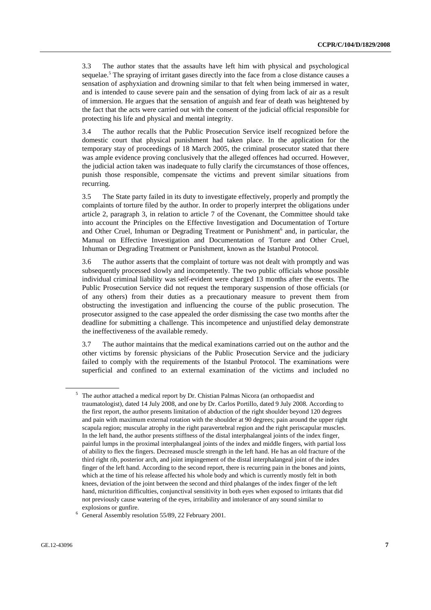3.3 The author states that the assaults have left him with physical and psychological sequelae.<sup>5</sup> The spraying of irritant gases directly into the face from a close distance causes a sensation of asphyxiation and drowning similar to that felt when being immersed in water, and is intended to cause severe pain and the sensation of dying from lack of air as a result of immersion. He argues that the sensation of anguish and fear of death was heightened by the fact that the acts were carried out with the consent of the judicial official responsible for protecting his life and physical and mental integrity.

3.4 The author recalls that the Public Prosecution Service itself recognized before the domestic court that physical punishment had taken place. In the application for the temporary stay of proceedings of 18 March 2005, the criminal prosecutor stated that there was ample evidence proving conclusively that the alleged offences had occurred. However, the judicial action taken was inadequate to fully clarify the circumstances of those offences, punish those responsible, compensate the victims and prevent similar situations from recurring.

3.5 The State party failed in its duty to investigate effectively, properly and promptly the complaints of torture filed by the author. In order to properly interpret the obligations under article 2, paragraph 3, in relation to article 7 of the Covenant, the Committee should take into account the Principles on the Effective Investigation and Documentation of Torture and Other Cruel, Inhuman or Degrading Treatment or Punishment<sup>6</sup> and, in particular, the Manual on Effective Investigation and Documentation of Torture and Other Cruel, Inhuman or Degrading Treatment or Punishment, known as the Istanbul Protocol.

3.6 The author asserts that the complaint of torture was not dealt with promptly and was subsequently processed slowly and incompetently. The two public officials whose possible individual criminal liability was self-evident were charged 13 months after the events. The Public Prosecution Service did not request the temporary suspension of those officials (or of any others) from their duties as a precautionary measure to prevent them from obstructing the investigation and influencing the course of the public prosecution. The prosecutor assigned to the case appealed the order dismissing the case two months after the deadline for submitting a challenge. This incompetence and unjustified delay demonstrate the ineffectiveness of the available remedy.

3.7 The author maintains that the medical examinations carried out on the author and the other victims by forensic physicians of the Public Prosecution Service and the judiciary failed to comply with the requirements of the Istanbul Protocol. The examinations were superficial and confined to an external examination of the victims and included no

<sup>5</sup> The author attached a medical report by Dr. Chistian Palmas Nicora (an orthopaedist and traumatologist), dated 14 July 2008, and one by Dr. Carlos Portillo, dated 9 July 2008. According to the first report, the author presents limitation of abduction of the right shoulder beyond 120 degrees and pain with maximum external rotation with the shoulder at 90 degrees; pain around the upper right scapula region; muscular atrophy in the right paravertebral region and the right periscapular muscles. In the left hand, the author presents stiffness of the distal interphalangeal joints of the index finger, painful lumps in the proximal interphalangeal joints of the index and middle fingers, with partial loss of ability to flex the fingers. Decreased muscle strength in the left hand. He has an old fracture of the third right rib, posterior arch, and joint impingement of the distal interphalangeal joint of the index finger of the left hand. According to the second report, there is recurring pain in the bones and joints, which at the time of his release affected his whole body and which is currently mostly felt in both knees, deviation of the joint between the second and third phalanges of the index finger of the left hand, micturition difficulties, conjunctival sensitivity in both eyes when exposed to irritants that did not previously cause watering of the eyes, irritability and intolerance of any sound similar to

explosions or gunfire. 6 General Assembly resolution 55/89, 22 February 2001.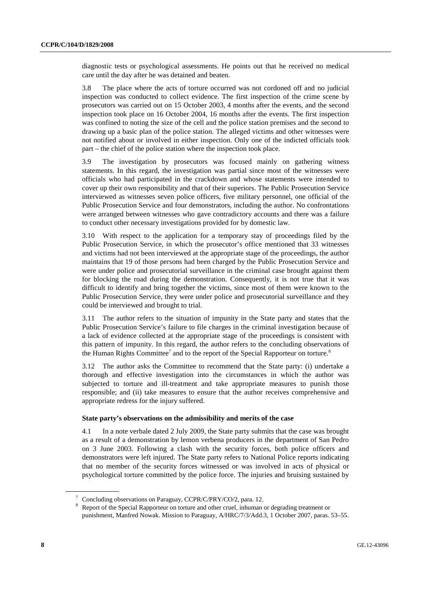diagnostic tests or psychological assessments. He points out that he received no medical care until the day after he was detained and beaten.

3.8 The place where the acts of torture occurred was not cordoned off and no judicial inspection was conducted to collect evidence. The first inspection of the crime scene by prosecutors was carried out on 15 October 2003, 4 months after the events, and the second inspection took place on 16 October 2004, 16 months after the events. The first inspection was confined to noting the size of the cell and the police station premises and the second to drawing up a basic plan of the police station. The alleged victims and other witnesses were not notified about or involved in either inspection. Only one of the indicted officials took part – the chief of the police station where the inspection took place.

3.9 The investigation by prosecutors was focused mainly on gathering witness statements. In this regard, the investigation was partial since most of the witnesses were officials who had participated in the crackdown and whose statements were intended to cover up their own responsibility and that of their superiors. The Public Prosecution Service interviewed as witnesses seven police officers, five military personnel, one official of the Public Prosecution Service and four demonstrators, including the author. No confrontations were arranged between witnesses who gave contradictory accounts and there was a failure to conduct other necessary investigations provided for by domestic law.

3.10 With respect to the application for a temporary stay of proceedings filed by the Public Prosecution Service, in which the prosecutor's office mentioned that 33 witnesses and victims had not been interviewed at the appropriate stage of the proceedings, the author maintains that 19 of those persons had been charged by the Public Prosecution Service and were under police and prosecutorial surveillance in the criminal case brought against them for blocking the road during the demonstration. Consequently, it is not true that it was difficult to identify and bring together the victims, since most of them were known to the Public Prosecution Service, they were under police and prosecutorial surveillance and they could be interviewed and brought to trial.

3.11 The author refers to the situation of impunity in the State party and states that the Public Prosecution Service's failure to file charges in the criminal investigation because of a lack of evidence collected at the appropriate stage of the proceedings is consistent with this pattern of impunity. In this regard, the author refers to the concluding observations of the Human Rights Committee<sup>7</sup> and to the report of the Special Rapporteur on torture.<sup>8</sup>

3.12 The author asks the Committee to recommend that the State party: (i) undertake a thorough and effective investigation into the circumstances in which the author was subjected to torture and ill-treatment and take appropriate measures to punish those responsible; and (ii) take measures to ensure that the author receives comprehensive and appropriate redress for the injury suffered.

#### **State party's observations on the admissibility and merits of the case**

4.1 In a note verbale dated 2 July 2009, the State party submits that the case was brought as a result of a demonstration by lemon verbena producers in the department of San Pedro on 3 June 2003. Following a clash with the security forces, both police officers and demonstrators were left injured. The State party refers to National Police reports indicating that no member of the security forces witnessed or was involved in acts of physical or psychological torture committed by the police force. The injuries and bruising sustained by

<sup>7</sup> Concluding observations on Paraguay, CCPR/C/PRY/CO/2, para. 12.

<sup>8</sup> Report of the Special Rapporteur on torture and other cruel, inhuman or degrading treatment or punishment, Manfred Nowak. Mission to Paraguay, A/HRC/7/3/Add.3, 1 October 2007, paras. 53–55.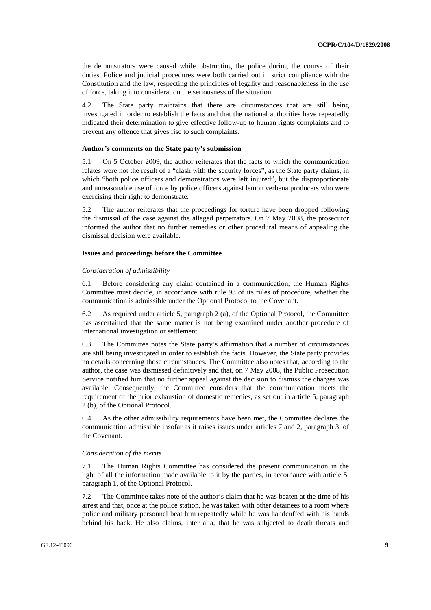the demonstrators were caused while obstructing the police during the course of their duties. Police and judicial procedures were both carried out in strict compliance with the Constitution and the law, respecting the principles of legality and reasonableness in the use of force, taking into consideration the seriousness of the situation.

4.2 The State party maintains that there are circumstances that are still being investigated in order to establish the facts and that the national authorities have repeatedly indicated their determination to give effective follow-up to human rights complaints and to prevent any offence that gives rise to such complaints.

#### **Author's comments on the State party's submission**

5.1 On 5 October 2009, the author reiterates that the facts to which the communication relates were not the result of a "clash with the security forces", as the State party claims, in which "both police officers and demonstrators were left injured", but the disproportionate and unreasonable use of force by police officers against lemon verbena producers who were exercising their right to demonstrate.

5.2 The author reiterates that the proceedings for torture have been dropped following the dismissal of the case against the alleged perpetrators. On 7 May 2008, the prosecutor informed the author that no further remedies or other procedural means of appealing the dismissal decision were available.

#### **Issues and proceedings before the Committee**

#### *Consideration of admissibility*

6.1 Before considering any claim contained in a communication, the Human Rights Committee must decide, in accordance with rule 93 of its rules of procedure, whether the communication is admissible under the Optional Protocol to the Covenant.

6.2 As required under article 5, paragraph 2 (a), of the Optional Protocol, the Committee has ascertained that the same matter is not being examined under another procedure of international investigation or settlement.

6.3 The Committee notes the State party's affirmation that a number of circumstances are still being investigated in order to establish the facts. However, the State party provides no details concerning those circumstances. The Committee also notes that, according to the author, the case was dismissed definitively and that, on 7 May 2008, the Public Prosecution Service notified him that no further appeal against the decision to dismiss the charges was available. Consequently, the Committee considers that the communication meets the requirement of the prior exhaustion of domestic remedies, as set out in article 5, paragraph 2 (b), of the Optional Protocol.

6.4 As the other admissibility requirements have been met, the Committee declares the communication admissible insofar as it raises issues under articles 7 and 2, paragraph 3, of the Covenant.

#### *Consideration of the merits*

7.1 The Human Rights Committee has considered the present communication in the light of all the information made available to it by the parties, in accordance with article 5, paragraph 1, of the Optional Protocol.

7.2 The Committee takes note of the author's claim that he was beaten at the time of his arrest and that, once at the police station, he was taken with other detainees to a room where police and military personnel beat him repeatedly while he was handcuffed with his hands behind his back. He also claims, inter alia, that he was subjected to death threats and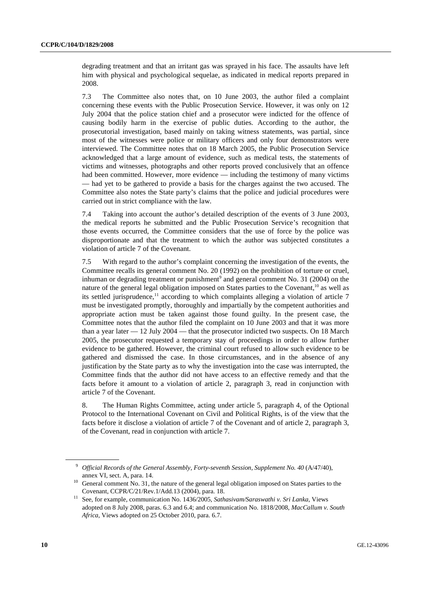degrading treatment and that an irritant gas was sprayed in his face. The assaults have left him with physical and psychological sequelae, as indicated in medical reports prepared in 2008.

7.3 The Committee also notes that, on 10 June 2003, the author filed a complaint concerning these events with the Public Prosecution Service. However, it was only on 12 July 2004 that the police station chief and a prosecutor were indicted for the offence of causing bodily harm in the exercise of public duties. According to the author, the prosecutorial investigation, based mainly on taking witness statements, was partial, since most of the witnesses were police or military officers and only four demonstrators were interviewed. The Committee notes that on 18 March 2005, the Public Prosecution Service acknowledged that a large amount of evidence, such as medical tests, the statements of victims and witnesses, photographs and other reports proved conclusively that an offence had been committed. However, more evidence — including the testimony of many victims — had yet to be gathered to provide a basis for the charges against the two accused. The Committee also notes the State party's claims that the police and judicial procedures were carried out in strict compliance with the law.

7.4 Taking into account the author's detailed description of the events of 3 June 2003, the medical reports he submitted and the Public Prosecution Service's recognition that those events occurred, the Committee considers that the use of force by the police was disproportionate and that the treatment to which the author was subjected constitutes a violation of article 7 of the Covenant.

7.5 With regard to the author's complaint concerning the investigation of the events, the Committee recalls its general comment No. 20 (1992) on the prohibition of torture or cruel, inhuman or degrading treatment or punishment<sup>9</sup> and general comment No. 31 (2004) on the nature of the general legal obligation imposed on States parties to the Covenant,  $10$  as well as its settled jurisprudence, $\frac{11}{11}$  according to which complaints alleging a violation of article 7 must be investigated promptly, thoroughly and impartially by the competent authorities and appropriate action must be taken against those found guilty. In the present case, the Committee notes that the author filed the complaint on 10 June 2003 and that it was more than a year later  $-12$  July 2004 — that the prosecutor indicted two suspects. On 18 March 2005, the prosecutor requested a temporary stay of proceedings in order to allow further evidence to be gathered. However, the criminal court refused to allow such evidence to be gathered and dismissed the case. In those circumstances, and in the absence of any justification by the State party as to why the investigation into the case was interrupted, the Committee finds that the author did not have access to an effective remedy and that the facts before it amount to a violation of article 2, paragraph 3, read in conjunction with article 7 of the Covenant.

8. The Human Rights Committee, acting under article 5, paragraph 4, of the Optional Protocol to the International Covenant on Civil and Political Rights, is of the view that the facts before it disclose a violation of article 7 of the Covenant and of article 2, paragraph 3, of the Covenant, read in conjunction with article 7.

<sup>9</sup> *Official Records of the General Assembly, Forty-seventh Session, Supplement No. 40* (A/47/40),

annex VI, sect. A, para. 14. 10 General comment No. 31, the nature of the general legal obligation imposed on States parties to the

Covenant, CCPR/C/21/Rev.1/Add.13 (2004), para. 18. 11 See, for example, communication No. 1436/2005, *Sathasivam/Saraswathi v. Sri Lanka*, Views adopted on 8 July 2008, paras. 6.3 and 6.4; and communication No. 1818/2008, *MacCallum v. South Africa*, Views adopted on 25 October 2010, para. 6.7.